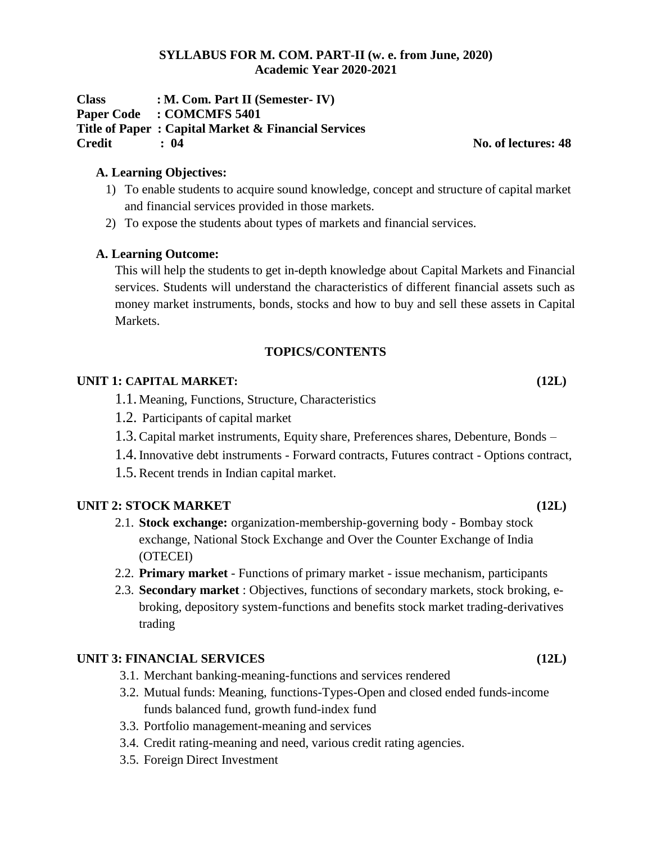#### **SYLLABUS FOR M. COM. PART-II (w. e. from June, 2020) Academic Year 2020-2021**

**Class : M. Com. Part II (Semester- IV) Paper Code : COMCMFS 5401 Title of Paper : Capital Market & Financial Services Credit : 04 No. of lectures: 48**

# **A. Learning Objectives:**

- 1) To enable students to acquire sound knowledge, concept and structure of capital market and financial services provided in those markets.
- 2) To expose the students about types of markets and financial services.

### **A. Learning Outcome:**

This will help the students to get in-depth knowledge about Capital Markets and Financial services. Students will understand the characteristics of different financial assets such as money market instruments, bonds, stocks and how to buy and sell these assets in Capital Markets.

# **TOPICS/CONTENTS**

### **UNIT 1: CAPITAL MARKET: (12L)**

- 1.1. Meaning, Functions, Structure, Characteristics
- 1.2. Participants of capital market
- 1.3.Capital market instruments, Equity share, Preferences shares, Debenture, Bonds –
- 1.4.Innovative debt instruments Forward contracts, Futures contract Options contract,
- 1.5.Recent trends in Indian capital market.

# **UNIT 2: STOCK MARKET (12L)**

- 2.1. **Stock exchange:** organization-membership-governing body Bombay stock exchange, National Stock Exchange and Over the Counter Exchange of India (OTECEI)
- 2.2. **Primary market**  Functions of primary market issue mechanism, participants
- 2.3. **Secondary market** : Objectives, functions of secondary markets, stock broking, ebroking, depository system-functions and benefits stock market trading-derivatives trading

# **UNIT 3: FINANCIAL SERVICES (12L)**

- 3.1. Merchant banking-meaning-functions and services rendered
- 3.2. Mutual funds: Meaning, functions-Types-Open and closed ended funds-income funds balanced fund, growth fund-index fund
- 3.3. Portfolio management-meaning and services
- 3.4. Credit rating-meaning and need, various credit rating agencies.
- 3.5. Foreign Direct Investment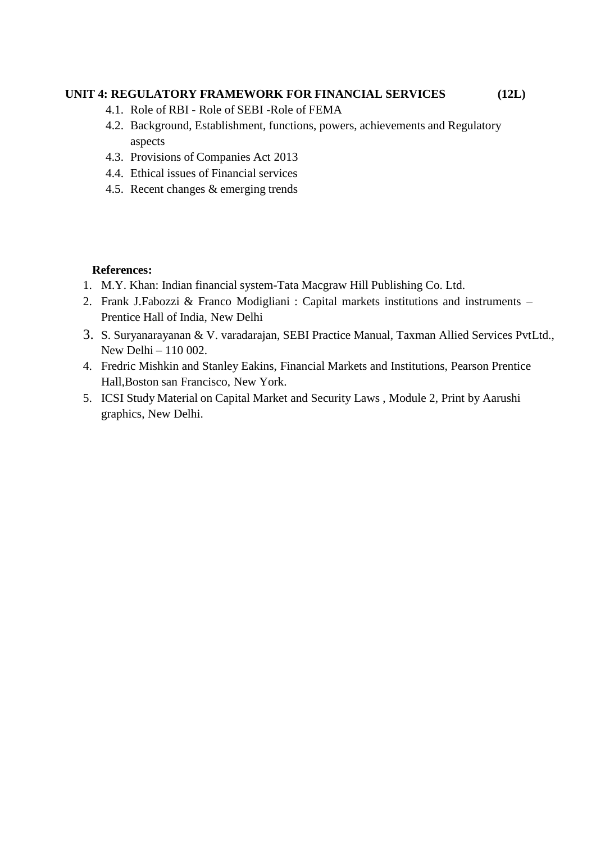# **UNIT 4: REGULATORY FRAMEWORK FOR FINANCIAL SERVICES (12L)**

- 4.1. Role of RBI Role of SEBI -Role of FEMA
- 4.2. Background, Establishment, functions, powers, achievements and Regulatory aspects
- 4.3. Provisions of Companies Act 2013
- 4.4. Ethical issues of Financial services
- 4.5. Recent changes & emerging trends

### **References:**

- 1. M.Y. Khan: Indian financial system-Tata Macgraw Hill Publishing Co. Ltd.
- 2. Frank J.Fabozzi & Franco Modigliani : Capital markets institutions and instruments Prentice Hall of India, New Delhi
- 3. S. Suryanarayanan & V. varadarajan, SEBI Practice Manual, Taxman Allied Services PvtLtd., New Delhi – 110 002.
- 4. Fredric Mishkin and Stanley Eakins, Financial Markets and Institutions, Pearson Prentice Hall,Boston san Francisco, New York.
- 5. ICSI Study Material on Capital Market and Security Laws , Module 2, Print by Aarushi graphics, New Delhi.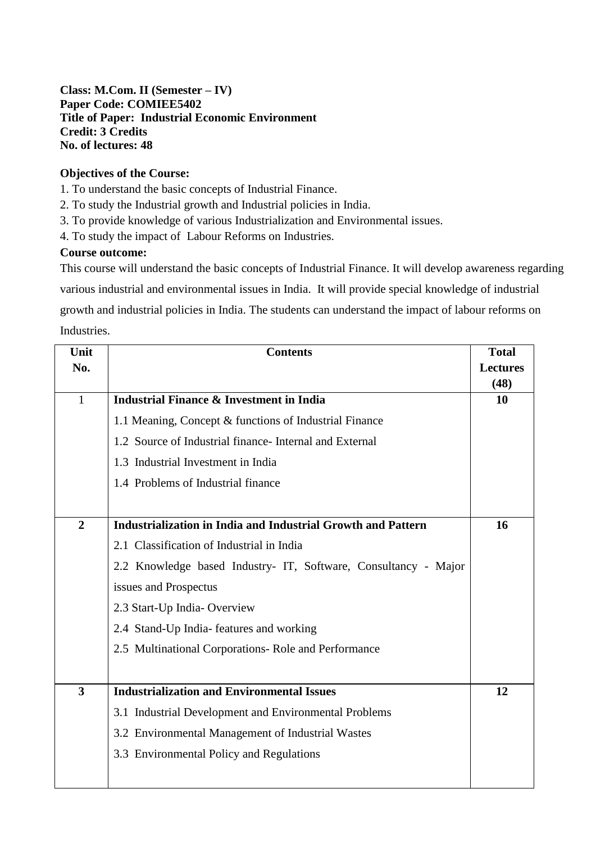# **Class: M.Com. II (Semester – IV) Paper Code: COMIEE5402 Title of Paper: Industrial Economic Environment Credit: 3 Credits No. of lectures: 48**

# **Objectives of the Course:**

1. To understand the basic concepts of Industrial Finance.

2. To study the Industrial growth and Industrial policies in India.

3. To provide knowledge of various Industrialization and Environmental issues.

4. To study the impact of Labour Reforms on Industries.

#### **Course outcome:**

This course will understand the basic concepts of Industrial Finance. It will develop awareness regarding

various industrial and environmental issues in India. It will provide special knowledge of industrial

growth and industrial policies in India. The students can understand the impact of labour reforms on Industries.

| Unit                    | <b>Contents</b>                                                     | <b>Total</b>    |
|-------------------------|---------------------------------------------------------------------|-----------------|
| No.                     |                                                                     | <b>Lectures</b> |
|                         |                                                                     | (48)            |
| $\mathbf{1}$            | <b>Industrial Finance &amp; Investment in India</b>                 | 10              |
|                         | 1.1 Meaning, Concept & functions of Industrial Finance              |                 |
|                         | 1.2 Source of Industrial finance-Internal and External              |                 |
|                         | 1.3 Industrial Investment in India                                  |                 |
|                         | 1.4 Problems of Industrial finance                                  |                 |
|                         |                                                                     |                 |
| $\overline{2}$          | <b>Industrialization in India and Industrial Growth and Pattern</b> | 16              |
|                         | 2.1 Classification of Industrial in India                           |                 |
|                         | 2.2 Knowledge based Industry- IT, Software, Consultancy - Major     |                 |
|                         | issues and Prospectus                                               |                 |
|                         | 2.3 Start-Up India-Overview                                         |                 |
|                         | 2.4 Stand-Up India- features and working                            |                 |
|                         | 2.5 Multinational Corporations-Role and Performance                 |                 |
|                         |                                                                     |                 |
| $\overline{\mathbf{3}}$ | <b>Industrialization and Environmental Issues</b>                   | 12              |
|                         | 3.1 Industrial Development and Environmental Problems               |                 |
|                         | 3.2 Environmental Management of Industrial Wastes                   |                 |
|                         | 3.3 Environmental Policy and Regulations                            |                 |
|                         |                                                                     |                 |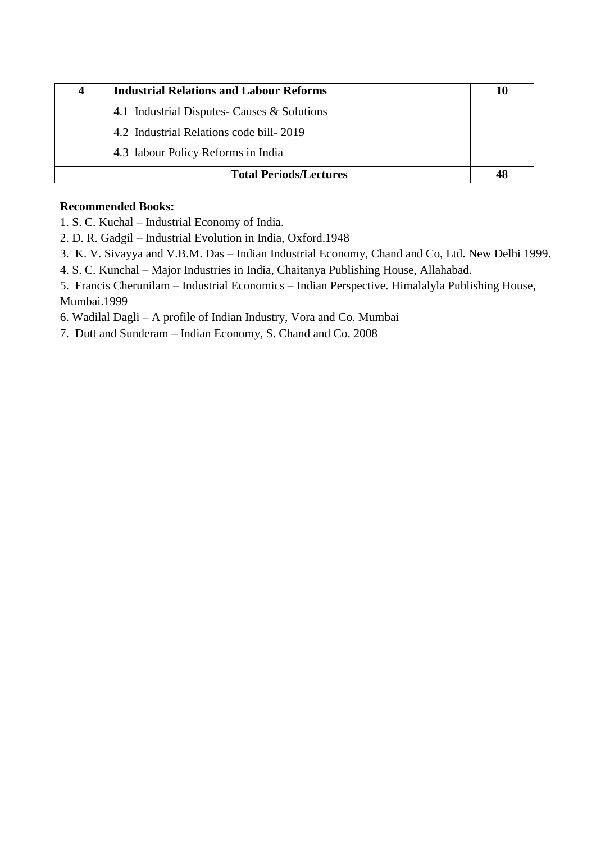| 4 | <b>Industrial Relations and Labour Reforms</b> | 10 |
|---|------------------------------------------------|----|
|   | 4.1 Industrial Disputes- Causes & Solutions    |    |
|   | 4.2 Industrial Relations code bill-2019        |    |
|   | 4.3 labour Policy Reforms in India             |    |
|   | <b>Total Periods/Lectures</b>                  | 48 |

# **Recommended Books:**

- 1. S. C. Kuchal Industrial Economy of India.
- 2. D. R. Gadgil Industrial Evolution in India, Oxford.1948
- 3. K. V. Sivayya and V.B.M. Das Indian Industrial Economy, Chand and Co, Ltd. New Delhi 1999.
- 4. S. C. Kunchal Major Industries in India, Chaitanya Publishing House, Allahabad.

5. Francis Cherunilam – Industrial Economics – Indian Perspective. Himalalyla Publishing House, Mumbai.1999

6. Wadilal Dagli – A profile of Indian Industry, Vora and Co. Mumbai

7. Dutt and Sunderam – Indian Economy, S. Chand and Co. 2008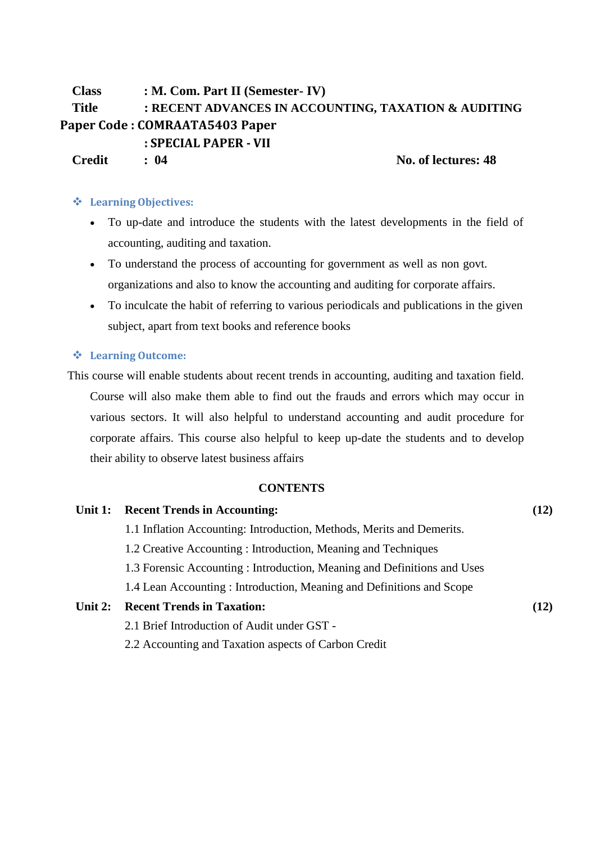# **Class : M. Com. Part II (Semester- IV) Title : RECENT ADVANCES IN ACCOUNTING, TAXATION & AUDITING Paper Code : COMRAATA5403 Paper : SPECIAL PAPER - VII Credit : 04 No. of lectures: 48**

#### **Learning Objectives:**

- To up-date and introduce the students with the latest developments in the field of accounting, auditing and taxation.
- To understand the process of accounting for government as well as non govt. organizations and also to know the accounting and auditing for corporate affairs.
- To inculcate the habit of referring to various periodicals and publications in the given subject, apart from text books and reference books

#### **Learning Outcome:**

This course will enable students about recent trends in accounting, auditing and taxation field. Course will also make them able to find out the frauds and errors which may occur in various sectors. It will also helpful to understand accounting and audit procedure for corporate affairs. This course also helpful to keep up-date the students and to develop their ability to observe latest business affairs

#### **CONTENTS**

#### **Unit 1: Recent Trends in Accounting: (12)**

- 1.1 Inflation Accounting: Introduction, Methods, Merits and Demerits.
- 1.2 Creative Accounting : Introduction, Meaning and Techniques
- 1.3 Forensic Accounting : Introduction, Meaning and Definitions and Uses
- 1.4 Lean Accounting : Introduction, Meaning and Definitions and Scope

#### **Unit 2: Recent Trends in Taxation: (12)**

- 2.1 Brief Introduction of Audit under GST -
- 2.2 Accounting and Taxation aspects of Carbon Credit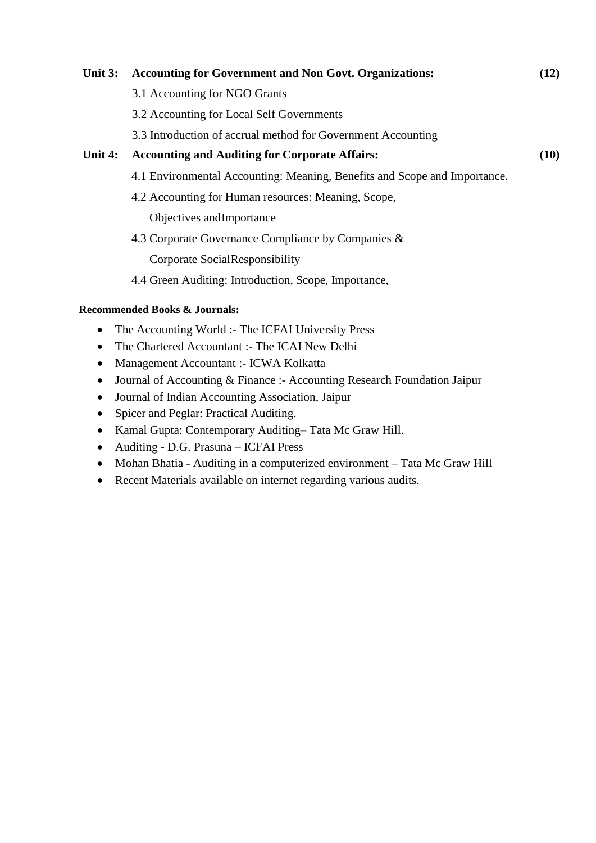# **Unit 3: Accounting for Government and Non Govt. Organizations: (12)**

- 3.1 Accounting for NGO Grants
- 3.2 Accounting for Local Self Governments
- 3.3 Introduction of accrual method for Government Accounting

# **Unit 4: Accounting and Auditing for Corporate Affairs: (10)**

- 4.1 Environmental Accounting: Meaning, Benefits and Scope and Importance.
- 4.2 Accounting for Human resources: Meaning, Scope,

Objectives andImportance

4.3 Corporate Governance Compliance by Companies &

Corporate SocialResponsibility

4.4 Green Auditing: Introduction, Scope, Importance,

#### **Recommended Books & Journals:**

- The Accounting World :- The ICFAI University Press
- The Chartered Accountant :- The ICAI New Delhi
- Management Accountant :- ICWA Kolkatta
- Journal of Accounting & Finance :- Accounting Research Foundation Jaipur
- Journal of Indian Accounting Association, Jaipur
- Spicer and Peglar: Practical Auditing.
- Kamal Gupta: Contemporary Auditing– Tata Mc Graw Hill.
- Auditing D.G. Prasuna ICFAI Press
- Mohan Bhatia Auditing in a computerized environment Tata Mc Graw Hill
- Recent Materials available on internet regarding various audits.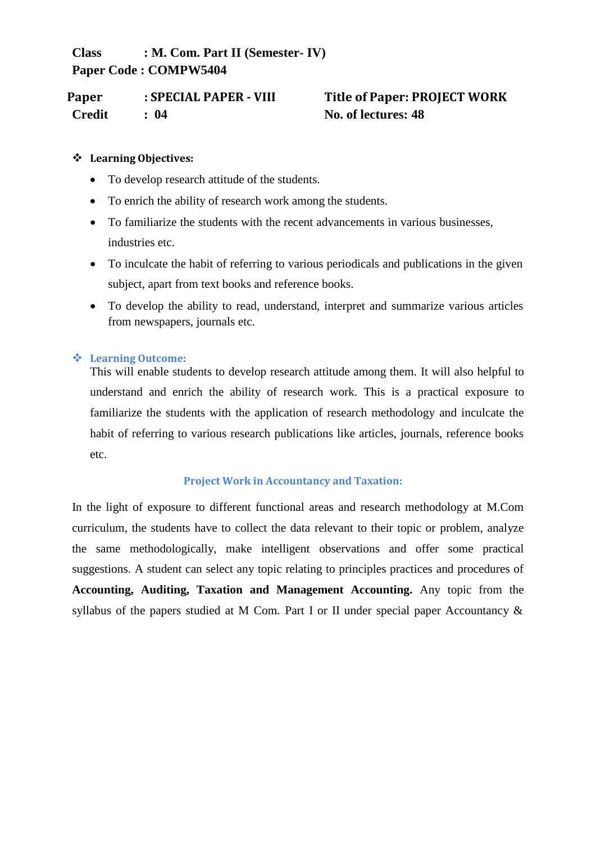**Class : M. Com. Part II (Semester- IV) Paper Code : COMPW5404**

**Paper : SPECIAL PAPER - VIII Title of Paper: PROJECT WORK Credit : 04 No. of lectures: 48**

# **Learning Objectives:**

- To develop research attitude of the students.
- To enrich the ability of research work among the students.
- To familiarize the students with the recent advancements in various businesses, industries etc.
- To inculcate the habit of referring to various periodicals and publications in the given subject, apart from text books and reference books.
- To develop the ability to read, understand, interpret and summarize various articles from newspapers, journals etc.

### **Learning Outcome:**

This will enable students to develop research attitude among them. It will also helpful to understand and enrich the ability of research work. This is a practical exposure to familiarize the students with the application of research methodology and inculcate the habit of referring to various research publications like articles, journals, reference books etc.

#### **Project Work in Accountancy and Taxation:**

In the light of exposure to different functional areas and research methodology at M.Com curriculum, the students have to collect the data relevant to their topic or problem, analyze the same methodologically, make intelligent observations and offer some practical suggestions. A student can select any topic relating to principles practices and procedures of **Accounting, Auditing, Taxation and Management Accounting.** Any topic from the syllabus of the papers studied at M Com. Part I or II under special paper Accountancy &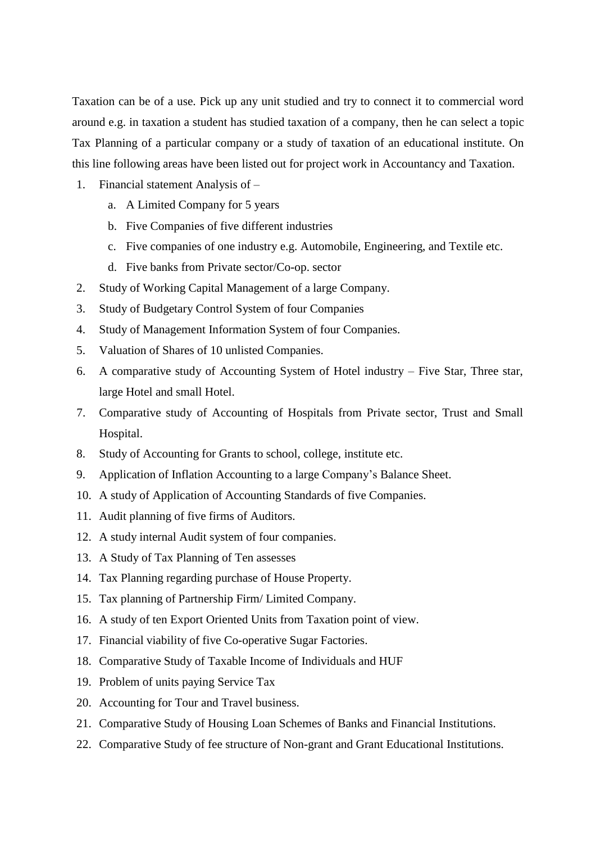Taxation can be of a use. Pick up any unit studied and try to connect it to commercial word around e.g. in taxation a student has studied taxation of a company, then he can select a topic Tax Planning of a particular company or a study of taxation of an educational institute. On this line following areas have been listed out for project work in Accountancy and Taxation.

- 1. Financial statement Analysis of
	- a. A Limited Company for 5 years
	- b. Five Companies of five different industries
	- c. Five companies of one industry e.g. Automobile, Engineering, and Textile etc.
	- d. Five banks from Private sector/Co-op. sector
- 2. Study of Working Capital Management of a large Company.
- 3. Study of Budgetary Control System of four Companies
- 4. Study of Management Information System of four Companies.
- 5. Valuation of Shares of 10 unlisted Companies.
- 6. A comparative study of Accounting System of Hotel industry Five Star, Three star, large Hotel and small Hotel.
- 7. Comparative study of Accounting of Hospitals from Private sector, Trust and Small Hospital.
- 8. Study of Accounting for Grants to school, college, institute etc.
- 9. Application of Inflation Accounting to a large Company's Balance Sheet.
- 10. A study of Application of Accounting Standards of five Companies.
- 11. Audit planning of five firms of Auditors.
- 12. A study internal Audit system of four companies.
- 13. A Study of Tax Planning of Ten assesses
- 14. Tax Planning regarding purchase of House Property.
- 15. Tax planning of Partnership Firm/ Limited Company.
- 16. A study of ten Export Oriented Units from Taxation point of view.
- 17. Financial viability of five Co-operative Sugar Factories.
- 18. Comparative Study of Taxable Income of Individuals and HUF
- 19. Problem of units paying Service Tax
- 20. Accounting for Tour and Travel business.
- 21. Comparative Study of Housing Loan Schemes of Banks and Financial Institutions.
- 22. Comparative Study of fee structure of Non-grant and Grant Educational Institutions.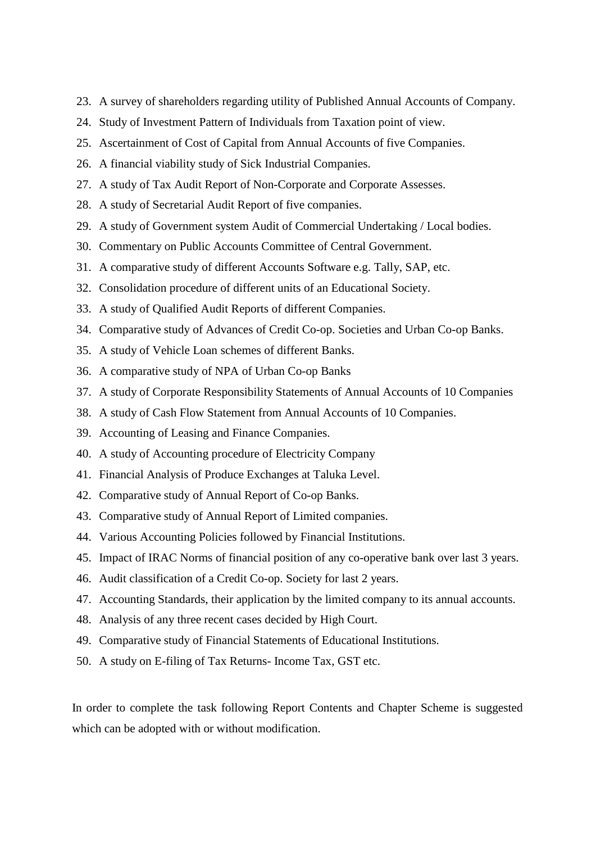- 23. A survey of shareholders regarding utility of Published Annual Accounts of Company.
- 24. Study of Investment Pattern of Individuals from Taxation point of view.
- 25. Ascertainment of Cost of Capital from Annual Accounts of five Companies.
- 26. A financial viability study of Sick Industrial Companies.
- 27. A study of Tax Audit Report of Non-Corporate and Corporate Assesses.
- 28. A study of Secretarial Audit Report of five companies.
- 29. A study of Government system Audit of Commercial Undertaking / Local bodies.
- 30. Commentary on Public Accounts Committee of Central Government.
- 31. A comparative study of different Accounts Software e.g. Tally, SAP, etc.
- 32. Consolidation procedure of different units of an Educational Society.
- 33. A study of Qualified Audit Reports of different Companies.
- 34. Comparative study of Advances of Credit Co-op. Societies and Urban Co-op Banks.
- 35. A study of Vehicle Loan schemes of different Banks.
- 36. A comparative study of NPA of Urban Co-op Banks
- 37. A study of Corporate Responsibility Statements of Annual Accounts of 10 Companies
- 38. A study of Cash Flow Statement from Annual Accounts of 10 Companies.
- 39. Accounting of Leasing and Finance Companies.
- 40. A study of Accounting procedure of Electricity Company
- 41. Financial Analysis of Produce Exchanges at Taluka Level.
- 42. Comparative study of Annual Report of Co-op Banks.
- 43. Comparative study of Annual Report of Limited companies.
- 44. Various Accounting Policies followed by Financial Institutions.
- 45. Impact of IRAC Norms of financial position of any co-operative bank over last 3 years.
- 46. Audit classification of a Credit Co-op. Society for last 2 years.
- 47. Accounting Standards, their application by the limited company to its annual accounts.
- 48. Analysis of any three recent cases decided by High Court.
- 49. Comparative study of Financial Statements of Educational Institutions.
- 50. A study on E-filing of Tax Returns- Income Tax, GST etc.

In order to complete the task following Report Contents and Chapter Scheme is suggested which can be adopted with or without modification.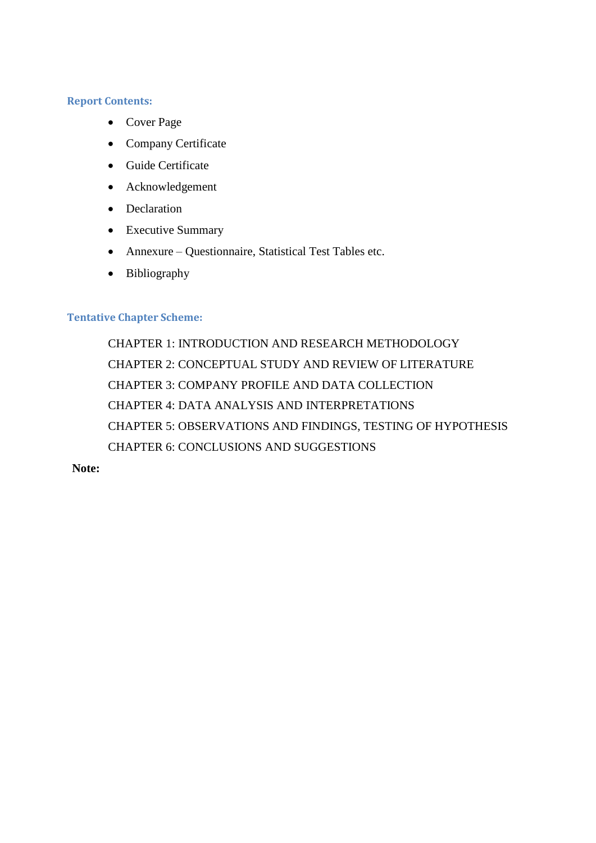#### **Report Contents:**

- Cover Page
- Company Certificate
- Guide Certificate
- Acknowledgement
- Declaration
- Executive Summary
- Annexure Questionnaire, Statistical Test Tables etc.
- Bibliography

# **Tentative Chapter Scheme:**

CHAPTER 1: INTRODUCTION AND RESEARCH METHODOLOGY CHAPTER 2: CONCEPTUAL STUDY AND REVIEW OF LITERATURE CHAPTER 3: COMPANY PROFILE AND DATA COLLECTION CHAPTER 4: DATA ANALYSIS AND INTERPRETATIONS CHAPTER 5: OBSERVATIONS AND FINDINGS, TESTING OF HYPOTHESIS CHAPTER 6: CONCLUSIONS AND SUGGESTIONS

**Note:**